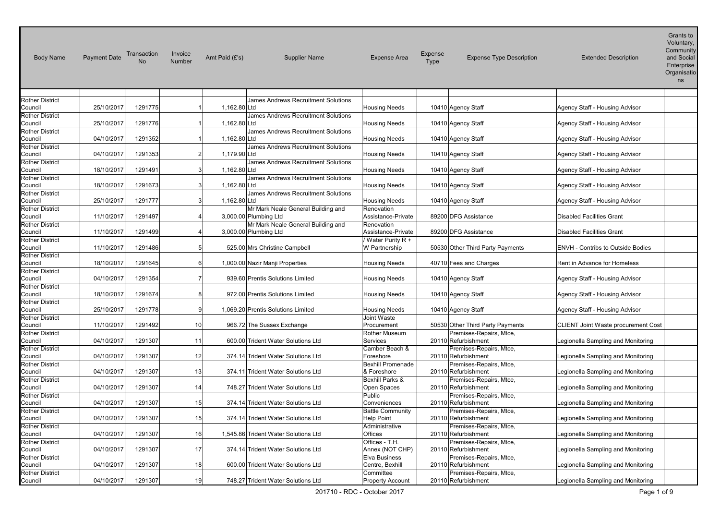| <b>Body Name</b>                  | <b>Payment Date</b> | Transaction<br>No. | Invoice<br>Number | Amt Paid (£'s) | Supplier Name                        | <b>Expense Area</b>                 | Expense<br><b>Type</b> | <b>Expense Type Description</b>                | <b>Extended Description</b>         | Voluntary,<br>Community<br>and Social<br>Enterprise<br>Organisatio<br>ns |
|-----------------------------------|---------------------|--------------------|-------------------|----------------|--------------------------------------|-------------------------------------|------------------------|------------------------------------------------|-------------------------------------|--------------------------------------------------------------------------|
| <b>Rother District</b>            |                     |                    |                   |                | James Andrews Recruitment Solutions  |                                     |                        |                                                |                                     |                                                                          |
| Council                           | 25/10/2017          | 1291775            |                   | 1,162.80 Ltd   |                                      | <b>Housing Needs</b>                |                        | 10410 Agency Staff                             | Agency Staff - Housing Advisor      |                                                                          |
| <b>Rother District</b>            |                     |                    |                   |                | James Andrews Recruitment Solutions  |                                     |                        |                                                |                                     |                                                                          |
| Council                           | 25/10/2017          | 1291776            |                   | 1,162.80 Ltd   |                                      | <b>Housing Needs</b>                |                        | 10410 Agency Staff                             | Agency Staff - Housing Advisor      |                                                                          |
| <b>Rother District</b>            |                     |                    |                   |                | James Andrews Recruitment Solutions  |                                     |                        |                                                |                                     |                                                                          |
| Council                           | 04/10/2017          | 1291352            | 1                 | 1,162.80 Ltd   |                                      | <b>Housing Needs</b>                |                        | 10410 Agency Staff                             | Agency Staff - Housing Advisor      |                                                                          |
| <b>Rother District</b>            |                     |                    |                   |                | James Andrews Recruitment Solutions  |                                     |                        |                                                |                                     |                                                                          |
| Council                           | 04/10/2017          | 1291353            | $\overline{2}$    | 1,179.90 Ltd   |                                      | <b>Housing Needs</b>                |                        | 10410 Agency Staff                             | Agency Staff - Housing Advisor      |                                                                          |
| <b>Rother District</b>            |                     |                    |                   |                | James Andrews Recruitment Solutions  |                                     |                        |                                                |                                     |                                                                          |
| Council                           | 18/10/2017          | 1291491            | 3 <sub>l</sub>    | 1,162.80 Ltd   |                                      | <b>Housing Needs</b>                |                        | 10410 Agency Staff                             | Agency Staff - Housing Advisor      |                                                                          |
| <b>Rother District</b>            |                     |                    |                   |                | James Andrews Recruitment Solutions  |                                     |                        |                                                |                                     |                                                                          |
| Council                           | 18/10/2017          | 1291673            | 3 <sub>l</sub>    | 1,162.80 Ltd   |                                      | <b>Housing Needs</b>                |                        | 10410 Agency Staff                             | Agency Staff - Housing Advisor      |                                                                          |
| <b>Rother District</b><br>Council | 25/10/2017          | 1291777            | 3 <sub>l</sub>    | 1,162.80 Ltd   | James Andrews Recruitment Solutions  |                                     |                        | 10410 Agency Staff                             | Agency Staff - Housing Advisor      |                                                                          |
| <b>Rother District</b>            |                     |                    |                   |                | Mr Mark Neale General Building and   | Housing Needs<br>Renovation         |                        |                                                |                                     |                                                                          |
| Council                           | 11/10/2017          | 1291497            | 4                 |                | 3,000.00 Plumbing Ltd                | Assistance-Private                  |                        | 89200 DFG Assistance                           | <b>Disabled Facilities Grant</b>    |                                                                          |
| <b>Rother District</b>            |                     |                    |                   |                | Mr Mark Neale General Building and   | Renovation                          |                        |                                                |                                     |                                                                          |
| Council                           | 11/10/2017          | 1291499            | 4                 |                | 3,000.00 Plumbing Ltd                | Assistance-Private                  |                        | 89200 DFG Assistance                           | <b>Disabled Facilities Grant</b>    |                                                                          |
| <b>Rother District</b>            |                     |                    |                   |                |                                      | Water Purity R +                    |                        |                                                |                                     |                                                                          |
| Council                           | 11/10/2017          | 1291486            | 5 <sub>l</sub>    |                | 525.00 Mrs Christine Campbell        | W Partnership                       |                        | 50530 Other Third Party Payments               | ENVH - Contribs to Outside Bodies   |                                                                          |
| <b>Rother District</b>            |                     |                    |                   |                |                                      |                                     |                        |                                                |                                     |                                                                          |
| Council                           | 18/10/2017          | 1291645            | $6 \mid$          |                | 1,000.00 Nazir Manji Properties      | <b>Housing Needs</b>                |                        | 40710 Fees and Charges                         | Rent in Advance for Homeless        |                                                                          |
| <b>Rother District</b>            |                     |                    |                   |                |                                      |                                     |                        |                                                |                                     |                                                                          |
| Council                           | 04/10/2017          | 1291354            | $\overline{7}$    |                | 939.60 Prentis Solutions Limited     | <b>Housing Needs</b>                |                        | 10410 Agency Staff                             | Agency Staff - Housing Advisor      |                                                                          |
| <b>Rother District</b>            |                     |                    |                   |                |                                      |                                     |                        |                                                |                                     |                                                                          |
| Council                           | 18/10/2017          | 1291674            | 8                 |                | 972.00 Prentis Solutions Limited     | <b>Housing Needs</b>                |                        | 10410 Agency Staff                             | Agency Staff - Housing Advisor      |                                                                          |
| <b>Rother District</b>            | 25/10/2017          | 1291778            | 9                 |                | 1,069.20 Prentis Solutions Limited   |                                     |                        |                                                |                                     |                                                                          |
| Council<br><b>Rother District</b> |                     |                    |                   |                |                                      | <b>Housing Needs</b><br>Joint Waste |                        | 10410 Agency Staff                             | Agency Staff - Housing Advisor      |                                                                          |
| Council                           | 11/10/2017          | 1291492            | 10                |                | 966.72 The Sussex Exchange           | Procurement                         |                        | 50530 Other Third Party Payments               | CLIENT Joint Waste procurement Cost |                                                                          |
| <b>Rother District</b>            |                     |                    |                   |                |                                      | Rother Museum                       |                        | Premises-Repairs, Mtce,                        |                                     |                                                                          |
| Council                           | 04/10/2017          | 1291307            | 11                |                | 600.00 Trident Water Solutions Ltd   | Services                            |                        | 20110 Refurbishment                            | Legionella Sampling and Monitoring  |                                                                          |
| <b>Rother District</b>            |                     |                    |                   |                |                                      | Camber Beach &                      |                        | Premises-Repairs, Mtce,                        |                                     |                                                                          |
| Council                           | 04/10/2017          | 1291307            | 12                |                | 374.14 Trident Water Solutions Ltd   | Foreshore                           |                        | 20110 Refurbishment                            | Legionella Sampling and Monitoring  |                                                                          |
| <b>Rother District</b>            |                     |                    |                   |                |                                      | <b>Bexhill Promenade</b>            |                        | Premises-Repairs, Mtce,                        |                                     |                                                                          |
| Council                           | 04/10/2017          | 1291307            | 13                |                | 374.11 Trident Water Solutions Ltd   | & Foreshore                         |                        | 20110 Refurbishment                            | Legionella Sampling and Monitoring  |                                                                          |
| <b>Rother District</b>            |                     |                    |                   |                |                                      | Bexhill Parks &                     |                        | Premises-Repairs, Mtce,                        |                                     |                                                                          |
| Council                           | 04/10/2017          | 1291307            | 14                |                | 748.27 Trident Water Solutions Ltd   | Open Spaces                         |                        | 20110 Refurbishment                            | Legionella Sampling and Monitoring  |                                                                          |
| <b>Rother District</b>            |                     |                    |                   |                |                                      | Public                              |                        | Premises-Repairs, Mtce,                        |                                     |                                                                          |
| Council                           | 04/10/2017          | 1291307            | 15                |                | 374.14 Trident Water Solutions Ltd   | Conveniences                        |                        | 20110 Refurbishment                            | Legionella Sampling and Monitoring  |                                                                          |
| <b>Rother District</b>            |                     |                    |                   |                |                                      | <b>Battle Community</b>             |                        | Premises-Repairs, Mtce,                        |                                     |                                                                          |
| Council                           | 04/10/2017          | 1291307            | 15                |                | 374.14 Trident Water Solutions Ltd   | <b>Help Point</b>                   |                        | 20110 Refurbishment                            | Legionella Sampling and Monitoring  |                                                                          |
| <b>Rother District</b><br>Council | 04/10/2017          | 1291307            | 16                |                | 1,545.86 Trident Water Solutions Ltd | Administrative<br>Offices           |                        | Premises-Repairs, Mtce,<br>20110 Refurbishment | Legionella Sampling and Monitoring  |                                                                          |
| <b>Rother District</b>            |                     |                    |                   |                |                                      | Offices - T.H.                      |                        | Premises-Repairs, Mtce,                        |                                     |                                                                          |
| Council                           | 04/10/2017          | 1291307            | 17                |                | 374.14 Trident Water Solutions Ltd   | Annex (NOT CHP)                     |                        | 20110 Refurbishment                            | Legionella Sampling and Monitoring  |                                                                          |
| <b>Rother District</b>            |                     |                    |                   |                |                                      | <b>Elva Business</b>                |                        | Premises-Repairs, Mtce,                        |                                     |                                                                          |
| Council                           | 04/10/2017          | 1291307            | 18                |                | 600.00 Trident Water Solutions Ltd   | Centre, Bexhill                     |                        | 20110 Refurbishment                            | Legionella Sampling and Monitoring  |                                                                          |
| <b>Rother District</b>            |                     |                    |                   |                |                                      | Committee                           |                        | Premises-Repairs, Mtce,                        |                                     |                                                                          |
| Council                           | 04/10/2017          | 1291307            | 19                |                | 748.27 Trident Water Solutions Ltd   | <b>Property Account</b>             |                        | 20110 Refurbishment                            | Legionella Sampling and Monitoring  |                                                                          |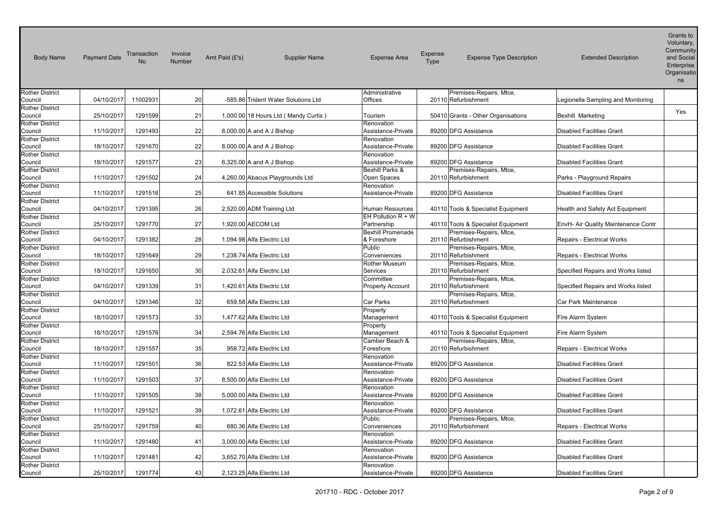| <b>Body Name</b>                  | <b>Payment Date</b> | Transaction<br><b>No</b> | Invoice<br>Number | Amt Paid (£'s)     | <b>Supplier Name</b>                   | <b>Expense Area</b>                     | Expense<br>Type | <b>Expense Type Description</b>                | <b>Extended Description</b>         | Voluntary,<br>Community<br>and Social<br>Enterprise<br>Organisatio<br>ns |
|-----------------------------------|---------------------|--------------------------|-------------------|--------------------|----------------------------------------|-----------------------------------------|-----------------|------------------------------------------------|-------------------------------------|--------------------------------------------------------------------------|
| <b>Rother District</b>            |                     |                          |                   |                    |                                        | Administrative                          |                 | Premises-Repairs, Mtce,                        |                                     |                                                                          |
| Council                           | 04/10/2017          | 11002931                 | 20                |                    | -585.86 Trident Water Solutions Ltd    | Offices                                 |                 | 20110 Refurbishment                            | Legionella Sampling and Monitoring  |                                                                          |
| <b>Rother District</b><br>Council | 25/10/2017          | 1291599                  | 21                |                    | 1,000.00 18 Hours Ltd ( Mandy Curtis ) | Tourism                                 |                 | 50410 Grants - Other Organisations             | Bexhill Marketing                   | Yes                                                                      |
| <b>Rother District</b><br>Council | 11/10/2017          | 1291493                  | 22                |                    | 8,000.00 A and A J Bishop              | Renovation<br>Assistance-Private        |                 | 89200 DFG Assistance                           | <b>Disabled Facilities Grant</b>    |                                                                          |
| <b>Rother District</b><br>Council | 18/10/2017          | 1291670                  | 22                |                    | 8,000.00 A and A J Bishop              | Renovation<br>Assistance-Private        |                 | 89200 DFG Assistance                           | <b>Disabled Facilities Grant</b>    |                                                                          |
| <b>Rother District</b><br>Council | 18/10/2017          | 1291577                  | 23                |                    | $6,325.00$ A and A J Bishop            | Renovation<br>Assistance-Private        |                 | 89200 DFG Assistance                           | <b>Disabled Facilities Grant</b>    |                                                                          |
| <b>Rother District</b><br>Council | 11/10/2017          | 1291502                  | 24                |                    | 4,260.00 Abacus Playgrounds Ltd        | Bexhill Parks &<br>Open Spaces          |                 | Premises-Repairs, Mtce,<br>20110 Refurbishment | Parks - Playground Repairs          |                                                                          |
| <b>Rother District</b><br>Council | 11/10/2017          | 1291516                  | 25                |                    | 641.85 Accessible Solutions            | Renovation<br>Assistance-Private        |                 | 89200 DFG Assistance                           | <b>Disabled Facilities Grant</b>    |                                                                          |
| <b>Rother District</b><br>Council | 04/10/2017          | 1291395                  | 26                |                    | 2,520.00 ADM Training Ltd              | Human Resources                         |                 | 40110 Tools & Specialist Equipment             | Health and Safety Act Equipment     |                                                                          |
| <b>Rother District</b><br>Council | 25/10/2017          | 1291770                  | 27                | 1,920.00 AECOM Ltd |                                        | EH Pollution $R + W$<br>Partnership     |                 | 40110 Tools & Specialist Equipment             | EnvH- Air Quality Maintenance Contr |                                                                          |
| <b>Rother District</b><br>Council | 04/10/2017          | 1291382                  | 28                |                    | 1,094.98 Alfa Electric Ltd             | <b>Bexhill Promenade</b><br>& Foreshore |                 | Premises-Repairs, Mtce,<br>20110 Refurbishment | Repairs - Electrical Works          |                                                                          |
| <b>Rother District</b><br>Council | 18/10/2017          | 1291649                  | 29                |                    | 1,238.74 Alfa Electric Ltd             | Public<br>Conveniences                  |                 | Premises-Repairs, Mtce,<br>20110 Refurbishment | Repairs - Electrical Works          |                                                                          |
| <b>Rother District</b><br>Council | 18/10/2017          | 1291650                  | 30                |                    | 2,032.61 Alfa Electric Ltd             | Rother Museum<br>Services               |                 | Premises-Repairs, Mtce,<br>20110 Refurbishment | Specified Repairs and Works listed  |                                                                          |
| <b>Rother District</b><br>Council | 04/10/2017          | 1291339                  | 31                |                    | 1,420.61 Alfa Electric Ltd             | Committee<br><b>Property Account</b>    |                 | Premises-Repairs, Mtce,<br>20110 Refurbishment | Specified Repairs and Works listed  |                                                                          |
| <b>Rother District</b><br>Council | 04/10/2017          | 1291346                  | 32                |                    | 659.58 Alfa Electric Ltd               | Car Parks                               |                 | Premises-Repairs, Mtce,<br>20110 Refurbishment | Car Park Maintenance                |                                                                          |
| <b>Rother District</b><br>Council | 18/10/2017          | 1291573                  | 33                |                    | 1,477.62 Alfa Electric Ltd             | Property<br>Management                  |                 | 40110 Tools & Specialist Equipment             | Fire Alarm System                   |                                                                          |
| <b>Rother District</b><br>Council | 18/10/2017          | 1291576                  | 34                |                    | 2,594.76 Alfa Electric Ltd             | Property<br>Management                  |                 | 40110 Tools & Specialist Equipment             | Fire Alarm System                   |                                                                          |
| <b>Rother District</b><br>Council | 18/10/2017          | 1291557                  | 35                |                    | 958.72 Alfa Electric Ltd               | Camber Beach &<br>Foreshore             |                 | Premises-Repairs, Mtce,<br>20110 Refurbishment | Repairs - Electrical Works          |                                                                          |
| <b>Rother District</b><br>Council | 11/10/2017          | 1291501                  | 36                |                    | 822.53 Alfa Electric Ltd               | Renovation<br>Assistance-Private        |                 | 89200 DFG Assistance                           | <b>Disabled Facilities Grant</b>    |                                                                          |
| <b>Rother District</b><br>Council | 11/10/2017          | 1291503                  | 37                |                    | 8,500.00 Alfa Electric Ltd             | Renovation<br>Assistance-Private        |                 | 89200 DFG Assistance                           | <b>Disabled Facilities Grant</b>    |                                                                          |
| <b>Rother District</b><br>Council | 11/10/2017          | 1291505                  | 38                |                    | 5,000.00 Alfa Electric Ltd             | Renovation<br>Assistance-Private        |                 | 89200 DFG Assistance                           | <b>Disabled Facilities Grant</b>    |                                                                          |
| <b>Rother District</b><br>Council | 11/10/2017          | 1291521                  | 39                |                    | 1.072.61 Alfa Electric Ltd             | Renovation<br>Assistance-Private        |                 | 89200 DFG Assistance                           | <b>Disabled Facilities Grant</b>    |                                                                          |
| <b>Rother District</b><br>Council | 25/10/2017          | 1291759                  | 40                |                    | 680.36 Alfa Electric Ltd               | Public<br>Conveniences                  |                 | Premises-Repairs, Mtce,<br>20110 Refurbishment | Repairs - Electrical Works          |                                                                          |
| <b>Rother District</b><br>Council | 11/10/2017          | 1291480                  | 41                |                    | 3,000.00 Alfa Electric Ltd             | Renovation<br>Assistance-Private        |                 | 89200 DFG Assistance                           | <b>Disabled Facilities Grant</b>    |                                                                          |
| <b>Rother District</b><br>Council | 11/10/2017          | 1291481                  | 42                |                    | 3.652.70 Alfa Electric Ltd             | Renovation<br>Assistance-Private        |                 | 89200 DFG Assistance                           | <b>Disabled Facilities Grant</b>    |                                                                          |
| <b>Rother District</b><br>Council | 25/10/2017          | 1291774                  | 43                |                    | 2,123.25 Alfa Electric Ltd             | Renovation<br>Assistance-Private        |                 | 89200 DFG Assistance                           | <b>Disabled Facilities Grant</b>    |                                                                          |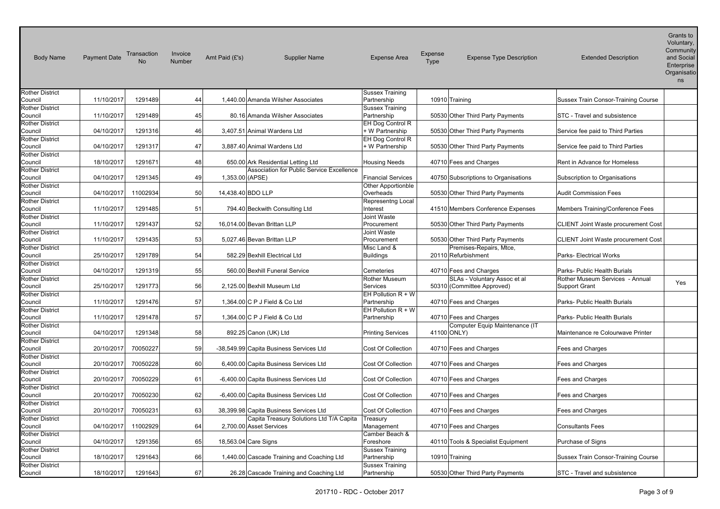| <b>Body Name</b>                  | <b>Payment Date</b> | Transaction | Invoice<br><b>Number</b> | Amt Paid $(E's)$     | <b>Supplier Name</b>                       | <b>Expense Area</b>                   | Expense<br>Type | <b>Expense Type Description</b>      | <b>Extended Description</b>                | Voluntary,<br>Community<br>and Social<br>Enterprise<br>Organisatio<br>ns |
|-----------------------------------|---------------------|-------------|--------------------------|----------------------|--------------------------------------------|---------------------------------------|-----------------|--------------------------------------|--------------------------------------------|--------------------------------------------------------------------------|
| <b>Rother District</b>            |                     |             |                          |                      |                                            | <b>Sussex Training</b>                |                 |                                      |                                            |                                                                          |
| Council                           | 11/10/2017          | 1291489     | 44                       |                      | 1,440.00 Amanda Wilsher Associates         | Partnership                           | 10910 Training  |                                      | <b>Sussex Train Consor-Training Course</b> |                                                                          |
| <b>Rother District</b>            |                     |             |                          |                      |                                            | <b>Sussex Training</b>                |                 |                                      |                                            |                                                                          |
| Council                           | 11/10/2017          | 1291489     | 45                       |                      | 80.16 Amanda Wilsher Associates            | Partnership                           |                 | 50530 Other Third Party Payments     | STC - Travel and subsistence               |                                                                          |
| <b>Rother District</b>            |                     |             |                          |                      |                                            | EH Dog Control R                      |                 |                                      |                                            |                                                                          |
| Council                           | 04/10/2017          | 1291316     | 46                       |                      | 3,407.51 Animal Wardens Ltd                | + W Partnership                       |                 | 50530 Other Third Party Payments     | Service fee paid to Third Parties          |                                                                          |
| <b>Rother District</b>            |                     |             |                          |                      |                                            | EH Dog Control R                      |                 |                                      |                                            |                                                                          |
| Council                           | 04/10/2017          | 1291317     | 47                       |                      | 3,887.40 Animal Wardens Ltd                | + W Partnership                       |                 | 50530 Other Third Party Payments     | Service fee paid to Third Parties          |                                                                          |
| <b>Rother District</b>            |                     |             |                          |                      |                                            |                                       |                 |                                      |                                            |                                                                          |
| Council                           | 18/10/2017          | 1291671     | 48                       |                      | 650.00 Ark Residential Letting Ltd         | <b>Housing Needs</b>                  |                 | 40710 Fees and Charges               | Rent in Advance for Homeless               |                                                                          |
| <b>Rother District</b>            |                     |             |                          |                      | Association for Public Service Excellence  |                                       |                 |                                      |                                            |                                                                          |
| Council                           | 04/10/2017          | 1291345     | 49                       | 1,353.00 (APSE)      |                                            | <b>Financial Services</b>             |                 | 40750 Subscriptions to Organisations | Subscription to Organisations              |                                                                          |
| <b>Rother District</b>            |                     |             |                          |                      |                                            | Other Apportionble                    |                 |                                      |                                            |                                                                          |
| Council                           | 04/10/2017          | 11002934    | 50                       | 14,438.40 BDO LLP    |                                            | Overheads                             |                 | 50530 Other Third Party Payments     | <b>Audit Commission Fees</b>               |                                                                          |
| <b>Rother District</b>            |                     |             |                          |                      |                                            | Representng Local                     |                 |                                      |                                            |                                                                          |
| Council                           | 11/10/2017          | 1291485     | 51                       |                      | 794.40 Beckwith Consulting Ltd             | Interest                              |                 | 41510 Members Conference Expenses    | Members Training/Conference Fees           |                                                                          |
| <b>Rother District</b>            |                     |             | 52                       |                      | 16,014.00 Bevan Brittan LLP                | Joint Waste                           |                 |                                      |                                            |                                                                          |
| Council                           | 11/10/2017          | 1291437     |                          |                      |                                            | Procurement                           |                 | 50530 Other Third Party Payments     | CLIENT Joint Waste procurement Cost        |                                                                          |
| <b>Rother District</b><br>Council | 11/10/2017          | 1291435     | 53                       |                      | 5,027.46 Bevan Brittan LLP                 | Joint Waste<br>Procurement            |                 | 50530 Other Third Party Payments     | CLIENT Joint Waste procurement Cost        |                                                                          |
| <b>Rother District</b>            |                     |             |                          |                      |                                            | Misc Land &                           |                 | Premises-Repairs, Mtce,              |                                            |                                                                          |
| Council                           | 25/10/2017          | 1291789     | 54                       |                      | 582.29 Bexhill Electrical Ltd              | Buildings                             |                 | 20110 Refurbishment                  | Parks- Electrical Works                    |                                                                          |
| <b>Rother District</b>            |                     |             |                          |                      |                                            |                                       |                 |                                      |                                            |                                                                          |
| Council                           | 04/10/2017          | 1291319     | 55                       |                      | 560.00 Bexhill Funeral Service             | Cemeteries                            |                 | 40710 Fees and Charges               | Parks- Public Health Burials               |                                                                          |
| <b>Rother District</b>            |                     |             |                          |                      |                                            | Rother Museum                         |                 | SLAs - Voluntary Assoc et al         | Rother Museum Services - Annual            |                                                                          |
| Council                           | 25/10/2017          | 1291773     | 56                       |                      | 2,125.00 Bexhill Museum Ltd                | Services                              |                 | 50310 (Committee Approved)           | <b>Support Grant</b>                       | Yes                                                                      |
| <b>Rother District</b>            |                     |             |                          |                      |                                            | EH Pollution $R + W$                  |                 |                                      |                                            |                                                                          |
| Council                           | 11/10/2017          | 1291476     | 57                       |                      | 1,364.00 C P J Field & Co Ltd              | Partnership                           |                 | 40710 Fees and Charges               | Parks- Public Health Burials               |                                                                          |
| <b>Rother District</b>            |                     |             |                          |                      |                                            | EH Pollution $R + W$                  |                 |                                      |                                            |                                                                          |
| Council                           | 11/10/2017          | 1291478     | 57                       |                      | 1,364.00 C P J Field & Co Ltd              | Partnership                           |                 | 40710 Fees and Charges               | Parks- Public Health Burials               |                                                                          |
| <b>Rother District</b>            |                     |             |                          |                      |                                            |                                       |                 | Computer Equip Maintenance (IT       |                                            |                                                                          |
| Council                           | 04/10/2017          | 1291348     | 58                       |                      | 892.25 Canon (UK) Ltd                      | <b>Printing Services</b>              | 41100 ONLY)     |                                      | Maintenance re Colourwave Printer          |                                                                          |
| <b>Rother District</b>            |                     |             |                          |                      |                                            |                                       |                 |                                      |                                            |                                                                          |
| Council                           | 20/10/2017          | 70050227    | 59                       |                      | -38,549.99 Capita Business Services Ltd    | Cost Of Collection                    |                 | 40710 Fees and Charges               | Fees and Charges                           |                                                                          |
| Rother District                   |                     |             |                          |                      |                                            |                                       |                 |                                      |                                            |                                                                          |
| Council                           | 20/10/2017          | 70050228    | 60                       |                      | 6,400.00 Capita Business Services Ltd      | Cost Of Collection                    |                 | 40710 Fees and Charges               | Fees and Charges                           |                                                                          |
| <b>Rother District</b>            |                     |             |                          |                      |                                            |                                       |                 |                                      |                                            |                                                                          |
| Council                           | 20/10/2017          | 70050229    | 61                       |                      | -6,400.00 Capita Business Services Ltd     | Cost Of Collection                    |                 | 40710 Fees and Charges               | Fees and Charges                           |                                                                          |
| <b>Rother District</b>            |                     |             |                          |                      |                                            |                                       |                 |                                      |                                            |                                                                          |
| Council                           | 20/10/2017          | 70050230    | 62                       |                      | -6,400.00 Capita Business Services Ltd     | Cost Of Collection                    |                 | 40710 Fees and Charges               | Fees and Charges                           |                                                                          |
| Rother District                   |                     |             |                          |                      |                                            |                                       |                 |                                      |                                            |                                                                          |
| Council                           | 20/10/2017          | 70050231    | 63                       |                      | 38,399.98 Capita Business Services Ltd     | Cost Of Collection                    |                 | 40710 Fees and Charges               | Fees and Charges                           |                                                                          |
| <b>Rother District</b>            |                     |             |                          |                      | Capita Treasury Solutions Ltd T/A Capita   | Treasury                              |                 |                                      |                                            |                                                                          |
| Council                           | 04/10/2017          | 11002929    | 64                       |                      | 2,700.00 Asset Services                    | Management                            |                 | 40710 Fees and Charges               | <b>Consultants Fees</b>                    |                                                                          |
| <b>Rother District</b>            |                     |             |                          |                      |                                            | Camber Beach &                        |                 |                                      |                                            |                                                                          |
| Council                           | 04/10/2017          | 1291356     | 65                       | 18,563.04 Care Signs |                                            | Foreshore                             |                 | 40110 Tools & Specialist Equipment   | Purchase of Signs                          |                                                                          |
| <b>Rother District</b>            |                     |             |                          |                      |                                            | <b>Sussex Training</b>                |                 |                                      |                                            |                                                                          |
| Council                           | 18/10/2017          | 1291643     | 66                       |                      | 1,440.00 Cascade Training and Coaching Ltd | Partnership                           | 10910 Training  |                                      | Sussex Train Consor-Training Course        |                                                                          |
| <b>Rother District</b><br>Council | 18/10/2017          | 1291643     | 67                       |                      | 26.28 Cascade Training and Coaching Ltd    | <b>Sussex Training</b><br>Partnership |                 | 50530 Other Third Party Payments     | STC - Travel and subsistence               |                                                                          |
|                                   |                     |             |                          |                      |                                            |                                       |                 |                                      |                                            |                                                                          |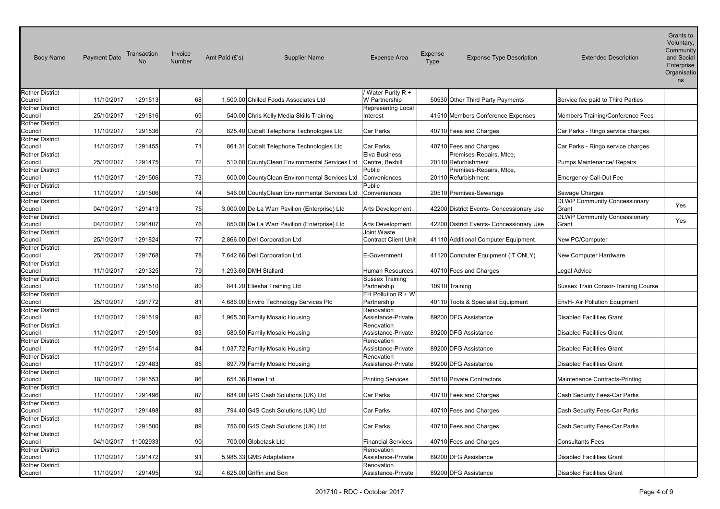| <b>Body Name</b>                  | <b>Payment Date</b> | Transaction<br><b>No</b> | Invoice<br>Number | Amt Paid (£'s) | <b>Supplier Name</b>                          | <b>Expense Area</b>              | Expense<br>Type | <b>Expense Type Description</b>          | <b>Extended Description</b>         | Voluntary,<br>Community<br>and Social<br>Enterprise<br>Organisatio<br>ns |
|-----------------------------------|---------------------|--------------------------|-------------------|----------------|-----------------------------------------------|----------------------------------|-----------------|------------------------------------------|-------------------------------------|--------------------------------------------------------------------------|
| <b>Rother District</b>            |                     |                          |                   |                |                                               | Water Purity R +                 |                 |                                          |                                     |                                                                          |
| Council                           | 11/10/2017          | 1291513                  | 68                |                | 1,500.00 Chilled Foods Associates Ltd         | W Partnership                    |                 | 50530 Other Third Party Payments         | Service fee paid to Third Parties   |                                                                          |
| <b>Rother District</b>            |                     |                          |                   |                |                                               | Representng Local                |                 |                                          |                                     |                                                                          |
| Council                           | 25/10/2017          | 1291816                  | 69                |                | 540.00 Chris Kelly Media Skills Training      | Interest                         |                 | 41510 Members Conference Expenses        | Members Training/Conference Fees    |                                                                          |
| <b>Rother District</b>            |                     |                          |                   |                |                                               |                                  |                 |                                          |                                     |                                                                          |
| Council                           | 11/10/2017          | 1291536                  | 70                |                | 825.40 Cobalt Telephone Technologies Ltd      | <b>Car Parks</b>                 |                 | 40710 Fees and Charges                   | Car Parks - Ringo service charges   |                                                                          |
| <b>Rother District</b>            |                     |                          |                   |                |                                               |                                  |                 |                                          |                                     |                                                                          |
| Council                           | 11/10/2017          | 1291455                  | 71                |                | 861.31 Cobalt Telephone Technologies Ltd      | Car Parks                        |                 | 40710 Fees and Charges                   | Car Parks - Ringo service charges   |                                                                          |
| <b>Rother District</b>            |                     |                          |                   |                |                                               | Elva Business                    |                 | Premises-Repairs, Mtce,                  |                                     |                                                                          |
| Council                           | 25/10/2017          | 1291475                  | 72                |                | 510.00 CountyClean Environmental Services Ltd | Centre, Bexhill                  |                 | 20110 Refurbishment                      | Pumps Maintenance/ Repairs          |                                                                          |
| <b>Rother District</b>            |                     |                          |                   |                |                                               | Public                           |                 | Premises-Repairs, Mtce,                  |                                     |                                                                          |
| Council                           | 11/10/2017          | 1291506                  | 73                |                | 600.00 CountyClean Environmental Services Ltd | Conveniences<br>Public           |                 | 20110 Refurbishment                      | <b>Emergency Call Out Fee</b>       |                                                                          |
| <b>Rother District</b><br>Council | 11/10/2017          | 1291506                  | 74                |                | 546.00 CountyClean Environmental Services Ltd | Conveniences                     |                 | 20510 Premises-Sewerage                  | Sewage Charges                      |                                                                          |
| <b>Rother District</b>            |                     |                          |                   |                |                                               |                                  |                 |                                          | <b>DLWP Community Concessionary</b> |                                                                          |
| Council                           | 04/10/2017          | 1291413                  | 75                |                | 3,000.00 De La Warr Pavilion (Enterprise) Ltd | <b>Arts Development</b>          |                 | 42200 District Events- Concessionary Use | Grant                               | Yes                                                                      |
| <b>Rother District</b>            |                     |                          |                   |                |                                               |                                  |                 |                                          | <b>DLWP Community Concessionary</b> |                                                                          |
| Council                           | 04/10/2017          | 1291407                  | 76                |                | 850.00 De La Warr Pavilion (Enterprise) Ltd   | <b>Arts Development</b>          |                 | 42200 District Events- Concessionary Use | Grant                               | Yes                                                                      |
| <b>Rother District</b>            |                     |                          |                   |                |                                               | Joint Waste                      |                 |                                          |                                     |                                                                          |
| Council                           | 25/10/2017          | 1291824                  | 77                |                | 2,866.00 Dell Corporation Ltd                 | <b>Contract Client Unit</b>      |                 | 41110 Additional Computer Equipment      | New PC/Computer                     |                                                                          |
| <b>Rother District</b>            |                     |                          |                   |                |                                               |                                  |                 |                                          |                                     |                                                                          |
| Council                           | 25/10/2017          | 1291768                  | 78                |                | 7,642.66 Dell Corporation Ltd                 | E-Government                     |                 | 41120 Computer Equipment (IT ONLY)       | New Computer Hardware               |                                                                          |
| <b>Rother District</b>            |                     |                          |                   |                |                                               |                                  |                 |                                          |                                     |                                                                          |
| Council                           | 11/10/2017          | 1291325                  | 79                |                | 1,293.60 DMH Stallard                         | Human Resources                  |                 | 40710 Fees and Charges                   | Legal Advice                        |                                                                          |
| <b>Rother District</b>            |                     |                          |                   |                |                                               | <b>Sussex Training</b>           |                 |                                          |                                     |                                                                          |
| Council                           | 11/10/2017          | 1291510                  | 80                |                | 841.20 Eliesha Training Ltd                   | Partnership                      |                 | 10910 Training                           | Sussex Train Consor-Training Course |                                                                          |
| <b>Rother District</b>            |                     |                          |                   |                |                                               | EH Pollution $R + W$             |                 |                                          |                                     |                                                                          |
| Council                           | 25/10/2017          | 1291772                  | 81                |                | 4,686.00 Enviro Technology Services Plc       | Partnership                      |                 | 40110 Tools & Specialist Equipment       | EnvH- Air Pollution Equipment       |                                                                          |
| <b>Rother District</b><br>Council | 11/10/2017          | 1291519                  | 82                |                | 1,965.30 Family Mosaic Housing                | Renovation<br>Assistance-Private |                 | 89200 DFG Assistance                     | <b>Disabled Facilities Grant</b>    |                                                                          |
| <b>Rother District</b>            |                     |                          |                   |                |                                               | Renovation                       |                 |                                          |                                     |                                                                          |
| Council                           | 11/10/2017          | 1291509                  | 83                |                | 580.50 Family Mosaic Housing                  | Assistance-Private               |                 | 89200 DFG Assistance                     | <b>Disabled Facilities Grant</b>    |                                                                          |
| <b>Rother District</b>            |                     |                          |                   |                |                                               | Renovation                       |                 |                                          |                                     |                                                                          |
| Council                           | 11/10/2017          | 1291514                  | 84                |                | 1,037.72 Family Mosaic Housing                | Assistance-Private               |                 | 89200 DFG Assistance                     | <b>Disabled Facilities Grant</b>    |                                                                          |
| <b>Rother District</b>            |                     |                          |                   |                |                                               | Renovation                       |                 |                                          |                                     |                                                                          |
| Council                           | 11/10/2017          | 1291483                  | 85                |                | 897.79 Family Mosaic Housing                  | Assistance-Private               |                 | 89200 DFG Assistance                     | <b>Disabled Facilities Grant</b>    |                                                                          |
| <b>Rother District</b>            |                     |                          |                   |                |                                               |                                  |                 |                                          |                                     |                                                                          |
| Council                           | 18/10/2017          | 1291553                  | 86                |                | 654.36 Flame Ltd                              | <b>Printing Services</b>         |                 | 50510 Private Contractors                | Maintenance Contracts-Printing      |                                                                          |
| <b>Rother District</b>            |                     |                          |                   |                |                                               |                                  |                 |                                          |                                     |                                                                          |
| Council                           | 11/10/2017          | 1291496                  | 87                |                | 684.00 G4S Cash Solutions (UK) Ltd            | Car Parks                        |                 | 40710 Fees and Charges                   | Cash Security Fees-Car Parks        |                                                                          |
| <b>Rother District</b>            |                     |                          |                   |                |                                               |                                  |                 |                                          |                                     |                                                                          |
| Council                           | 11/10/2017          | 1291498                  | 88                |                | 794.40 G4S Cash Solutions (UK) Ltd            | Car Parks                        |                 | 40710 Fees and Charges                   | Cash Security Fees-Car Parks        |                                                                          |
| <b>Rother District</b><br>Council | 11/10/2017          | 1291500                  | 89                |                |                                               | Car Parks                        |                 |                                          |                                     |                                                                          |
| <b>Rother District</b>            |                     |                          |                   |                | 756.00 G4S Cash Solutions (UK) Ltd            |                                  |                 | 40710 Fees and Charges                   | Cash Security Fees-Car Parks        |                                                                          |
| Council                           | 04/10/2017          | 11002933                 | 90                |                | 700.00 Globetask Ltd                          | <b>Financial Services</b>        |                 | 40710 Fees and Charges                   | <b>Consultants Fees</b>             |                                                                          |
| <b>Rother District</b>            |                     |                          |                   |                |                                               | Renovation                       |                 |                                          |                                     |                                                                          |
| Council                           | 11/10/2017          | 1291472                  | 91                |                | 5,985.33 GMS Adaptations                      | Assistance-Private               |                 | 89200 DFG Assistance                     | <b>Disabled Facilities Grant</b>    |                                                                          |
| <b>Rother District</b>            |                     |                          |                   |                |                                               | Renovation                       |                 |                                          |                                     |                                                                          |
| Council                           | 11/10/2017          | 1291495                  | 92                |                | 4,625.00 Griffin and Son                      | Assistance-Private               |                 | 89200 DFG Assistance                     | <b>Disabled Facilities Grant</b>    |                                                                          |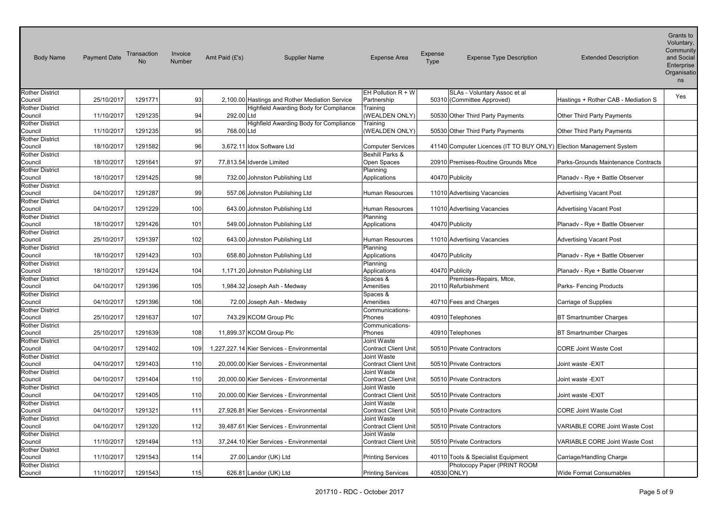| <b>Body Name</b>                  | <b>Payment Date</b> | Transaction<br><b>No</b> | Invoice<br>Number | Amt Paid $(E's)$ | <b>Supplier Name</b>                           | <b>Expense Area</b>                        | <b>Expense</b><br>Type | <b>Expense Type Description</b>                                     | <b>Extended Description</b>           | Voluntary,<br>Community<br>and Social<br>Enterprise<br>Organisatio<br>ns |
|-----------------------------------|---------------------|--------------------------|-------------------|------------------|------------------------------------------------|--------------------------------------------|------------------------|---------------------------------------------------------------------|---------------------------------------|--------------------------------------------------------------------------|
| <b>Rother District</b>            |                     |                          |                   |                  |                                                | EH Pollution $R + W$                       |                        | SLAs - Voluntary Assoc et al                                        |                                       | Yes                                                                      |
| Council                           | 25/10/2017          | 1291771                  | 93                |                  | 2,100.00 Hastings and Rother Mediation Service | Partnership                                |                        | 50310 (Committee Approved)                                          | Hastings + Rother CAB - Mediation S   |                                                                          |
| <b>Rother District</b>            |                     |                          |                   |                  | Highfield Awarding Body for Compliance         | Training                                   |                        |                                                                     |                                       |                                                                          |
| Council                           | 11/10/2017          | 1291235                  | 94                | 292.00 Ltd       |                                                | (WEALDEN ONLY)                             |                        | 50530 Other Third Party Payments                                    | Other Third Party Payments            |                                                                          |
| <b>Rother District</b><br>Council | 11/10/2017          | 1291235                  | 95                | 768.00 Ltd       | Highfield Awarding Body for Compliance         | Training<br>(WEALDEN ONLY)                 |                        | 50530 Other Third Party Payments                                    | Other Third Party Payments            |                                                                          |
| <b>Rother District</b><br>Council | 18/10/2017          | 1291582                  | 96                |                  | 3,672.11 Idox Software Ltd                     | <b>Computer Services</b>                   |                        | 41140 Computer Licences (IT TO BUY ONLY) Election Management System |                                       |                                                                          |
| <b>Rother District</b><br>Council | 18/10/2017          | 1291641                  | 97                |                  | 77,813.54 Idverde Limited                      | <b>Bexhill Parks &amp;</b><br>Open Spaces  |                        | 20910 Premises-Routine Grounds Mtce                                 | Parks-Grounds Maintenance Contracts   |                                                                          |
| <b>Rother District</b>            |                     |                          |                   |                  |                                                | Planning                                   |                        |                                                                     |                                       |                                                                          |
| Council                           | 18/10/2017          | 1291425                  | 98                |                  | 732.00 Johnston Publishing Ltd                 | Applications                               |                        | 40470 Publicity                                                     | Planadv - Rye + Battle Observer       |                                                                          |
| <b>Rother District</b>            |                     |                          |                   |                  |                                                |                                            |                        |                                                                     |                                       |                                                                          |
| Council                           | 04/10/2017          | 1291287                  | 99                |                  | 557.06 Johnston Publishing Ltd                 | <b>Human Resources</b>                     |                        | 11010 Advertising Vacancies                                         | <b>Advertising Vacant Post</b>        |                                                                          |
| <b>Rother District</b>            |                     |                          |                   |                  |                                                |                                            |                        |                                                                     |                                       |                                                                          |
| Council                           | 04/10/2017          | 1291229                  | 100               |                  | 643.00 Johnston Publishing Ltd                 | Human Resources                            |                        | 11010 Advertising Vacancies                                         | <b>Advertising Vacant Post</b>        |                                                                          |
| <b>Rother District</b>            |                     |                          |                   |                  |                                                | Planning                                   |                        |                                                                     |                                       |                                                                          |
| Council                           | 18/10/2017          | 1291426                  | 101               |                  | 549.00 Johnston Publishing Ltd                 | Applications                               |                        | 40470 Publicity                                                     | Planadv - Rye + Battle Observer       |                                                                          |
| <b>Rother District</b><br>Council | 25/10/2017          | 1291397                  | 102               |                  | 643.00 Johnston Publishing Ltd                 | <b>Human Resources</b>                     |                        | 11010 Advertising Vacancies                                         | <b>Advertising Vacant Post</b>        |                                                                          |
| <b>Rother District</b><br>Council | 18/10/2017          | 1291423                  | 103               |                  | 658.80 Johnston Publishing Ltd                 | Planning<br>Applications                   |                        | 40470 Publicity                                                     | Planady - Rye + Battle Observer       |                                                                          |
| <b>Rother District</b><br>Council | 18/10/2017          | 1291424                  | 104               |                  | 1,171.20 Johnston Publishing Ltd               | Planning<br>Applications                   |                        | 40470 Publicity                                                     | Planadv - Rye + Battle Observer       |                                                                          |
| <b>Rother District</b>            |                     |                          |                   |                  |                                                | Spaces &                                   |                        | Premises-Repairs, Mtce,                                             |                                       |                                                                          |
| Council                           | 04/10/2017          | 1291396                  | 105               |                  | 1,984.32 Joseph Ash - Medway                   | Amenities                                  |                        | 20110 Refurbishment                                                 | Parks- Fencing Products               |                                                                          |
| <b>Rother District</b><br>Council | 04/10/2017          | 1291396                  | 106               |                  | 72.00 Joseph Ash - Medway                      | Spaces &<br>Amenities                      |                        | 40710 Fees and Charges                                              | <b>Carriage of Supplies</b>           |                                                                          |
| <b>Rother District</b>            |                     |                          |                   |                  |                                                | Communications-                            |                        |                                                                     |                                       |                                                                          |
| Council                           | 25/10/2017          | 1291637                  | 107               |                  | 743.29 KCOM Group Plc                          | Phones                                     |                        | 40910 Telephones                                                    | BT Smartnumber Charges                |                                                                          |
| <b>Rother District</b>            |                     |                          |                   |                  |                                                | Communications-                            |                        |                                                                     |                                       |                                                                          |
| Council                           | 25/10/2017          | 1291639                  | 108               |                  | 11,899.37 KCOM Group Plc                       | Phones                                     |                        | 40910 Telephones                                                    | <b>BT Smartnumber Charges</b>         |                                                                          |
| <b>Rother District</b>            |                     |                          |                   |                  |                                                | Joint Waste                                |                        |                                                                     |                                       |                                                                          |
| Council                           | 04/10/2017          | 1291402                  | 109               |                  | 1,227,227.14 Kier Services - Environmental     | <b>Contract Client Unit</b>                |                        | 50510 Private Contractors                                           | <b>CORE Joint Waste Cost</b>          |                                                                          |
| <b>Rother District</b>            |                     |                          |                   |                  |                                                | Joint Waste                                |                        |                                                                     |                                       |                                                                          |
| Council<br><b>Rother District</b> | 04/10/2017          | 1291403                  | 110               |                  | 20,000.00 Kier Services - Environmental        | <b>Contract Client Unit</b><br>Joint Waste |                        | 50510 Private Contractors                                           | Joint waste -EXIT                     |                                                                          |
| Council                           | 04/10/2017          | 1291404                  | 110               |                  | 20,000.00 Kier Services - Environmental        | <b>Contract Client Unit</b>                |                        | 50510 Private Contractors                                           | Joint waste -EXIT                     |                                                                          |
| <b>Rother District</b>            |                     |                          |                   |                  |                                                | Joint Waste                                |                        |                                                                     |                                       |                                                                          |
| Council                           | 04/10/2017          | 1291405                  | 110               |                  | 20,000.00 Kier Services - Environmental        | Contract Client Unit                       |                        | 50510 Private Contractors                                           | Joint waste -EXIT                     |                                                                          |
| <b>Rother District</b>            |                     |                          |                   |                  |                                                | Joint Waste                                |                        |                                                                     |                                       |                                                                          |
| Council                           | 04/10/2017          | 1291321                  | 111               |                  | 27,926.81 Kier Services - Environmental        | <b>Contract Client Unit</b>                |                        | 50510 Private Contractors                                           | <b>CORE Joint Waste Cost</b>          |                                                                          |
| <b>Rother District</b>            |                     |                          |                   |                  |                                                | Joint Waste                                |                        |                                                                     |                                       |                                                                          |
| Council                           | 04/10/2017          | 1291320                  | 112               |                  | 39,487.61 Kier Services - Environmental        | <b>Contract Client Unit</b>                |                        | 50510 Private Contractors                                           | VARIABLE CORE Joint Waste Cost        |                                                                          |
| <b>Rother District</b>            |                     |                          |                   |                  |                                                | Joint Waste                                |                        |                                                                     |                                       |                                                                          |
| Council                           | 11/10/2017          | 1291494                  | 113               |                  | 37,244.10 Kier Services - Environmental        | <b>Contract Client Unit</b>                |                        | 50510 Private Contractors                                           | <b>VARIABLE CORE Joint Waste Cost</b> |                                                                          |
| <b>Rother District</b><br>Council | 11/10/2017          | 1291543                  | 114               |                  | 27.00 Landor (UK) Ltd                          | <b>Printing Services</b>                   |                        | 40110 Tools & Specialist Equipment                                  | Carriage/Handling Charge              |                                                                          |
| <b>Rother District</b>            | 11/10/2017          |                          |                   |                  |                                                |                                            |                        | Photocopy Paper (PRINT ROOM                                         |                                       |                                                                          |
| Council                           |                     | 1291543                  | 115               |                  | 626.81 Landor (UK) Ltd                         | <b>Printing Services</b>                   |                        | 40530 ONLY)                                                         | Wide Format Consumables               |                                                                          |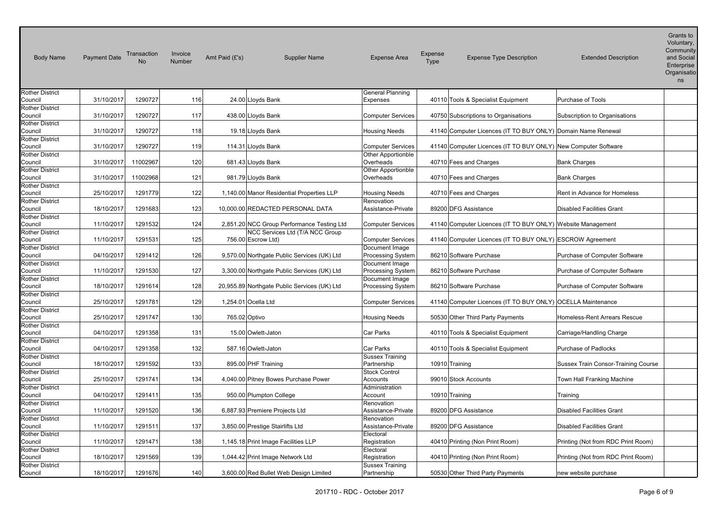| <b>Body Name</b>                  | <b>Payment Date</b> | Transaction<br><b>No</b> | Invoice<br>Number | Amt Paid $(E's)$    | <b>Supplier Name</b>                         | <b>Expense Area</b>                        | Expense<br><b>Type</b> | <b>Expense Type Description</b>                                | <b>Extended Description</b>         | Grants to<br>Voluntary,<br>Community<br>and Social<br>Enterprise<br>Organisatio<br>ns |
|-----------------------------------|---------------------|--------------------------|-------------------|---------------------|----------------------------------------------|--------------------------------------------|------------------------|----------------------------------------------------------------|-------------------------------------|---------------------------------------------------------------------------------------|
| <b>Rother District</b>            |                     |                          |                   |                     |                                              | General Planning                           |                        |                                                                |                                     |                                                                                       |
| Council<br><b>Rother District</b> | 31/10/2017          | 1290727                  | 116               |                     | 24.00 Lloyds Bank                            | Expenses                                   |                        | 40110 Tools & Specialist Equipment                             | Purchase of Tools                   |                                                                                       |
| Council                           | 31/10/2017          | 1290727                  | 117               | 438.00 Lloyds Bank  |                                              | <b>Computer Services</b>                   |                        | 40750 Subscriptions to Organisations                           | Subscription to Organisations       |                                                                                       |
| <b>Rother District</b><br>Council | 31/10/2017          | 1290727                  | 118               |                     | 19.18 Lloyds Bank                            | <b>Housing Needs</b>                       |                        | 41140 Computer Licences (IT TO BUY ONLY) Domain Name Renewal   |                                     |                                                                                       |
| <b>Rother District</b><br>Council | 31/10/2017          | 1290727                  | 119               | 114.31 Lloyds Bank  |                                              | <b>Computer Services</b>                   |                        | 41140 Computer Licences (IT TO BUY ONLY) New Computer Software |                                     |                                                                                       |
| <b>Rother District</b><br>Council | 31/10/2017          | 11002967                 | 120               | 681.43 Lloyds Bank  |                                              | Other Apportionble<br>Overheads            |                        | 40710 Fees and Charges                                         | <b>Bank Charges</b>                 |                                                                                       |
| <b>Rother District</b><br>Council | 31/10/2017          | 11002968                 | 121               | 981.79 Lloyds Bank  |                                              | <b>Other Apportionble</b><br>Overheads     |                        | 40710 Fees and Charges                                         | <b>Bank Charges</b>                 |                                                                                       |
| <b>Rother District</b><br>Council | 25/10/2017          | 1291779                  | 122               |                     | 1,140.00 Manor Residential Properties LLP    | <b>Housing Needs</b>                       |                        | 40710 Fees and Charges                                         | Rent in Advance for Homeless        |                                                                                       |
| Rother District<br>Council        | 18/10/2017          | 1291683                  | 123               |                     | 10,000.00 REDACTED PERSONAL DATA             | Renovation<br>Assistance-Private           |                        | 89200 DFG Assistance                                           | <b>Disabled Facilities Grant</b>    |                                                                                       |
| <b>Rother District</b><br>Council | 11/10/2017          | 1291532                  | 124               |                     | 2,851.20 NCC Group Performance Testing Ltd   | <b>Computer Services</b>                   |                        | 41140 Computer Licences (IT TO BUY ONLY) Website Management    |                                     |                                                                                       |
| <b>Rother District</b><br>Council | 11/10/2017          | 1291531                  | 125               | 756.00 Escrow Ltd)  | NCC Services Ltd (T/A NCC Group              | <b>Computer Services</b>                   |                        | 41140 Computer Licences (IT TO BUY ONLY) ESCROW Agreement      |                                     |                                                                                       |
| Rother District<br>Council        | 04/10/2017          | 1291412                  | 126               |                     | 9,570.00 Northgate Public Services (UK) Ltd  | Document Image<br><b>Processing System</b> |                        | 86210 Software Purchase                                        | Purchase of Computer Software       |                                                                                       |
| <b>Rother District</b><br>Council | 11/10/2017          | 1291530                  | 127               |                     | 3,300.00 Northgate Public Services (UK) Ltd  | Document Image<br>Processing System        |                        | 86210 Software Purchase                                        | Purchase of Computer Software       |                                                                                       |
| <b>Rother District</b><br>Council | 18/10/2017          | 1291614                  | 128               |                     | 20,955.89 Northgate Public Services (UK) Ltd | Document Image<br><b>Processing System</b> |                        | 86210 Software Purchase                                        | Purchase of Computer Software       |                                                                                       |
| <b>Rother District</b><br>Council | 25/10/2017          | 1291781                  | 129               | 1,254.01 Ocella Ltd |                                              | <b>Computer Services</b>                   |                        | 41140 Computer Licences (IT TO BUY ONLY) OCELLA Maintenance    |                                     |                                                                                       |
| <b>Rother District</b><br>Council | 25/10/2017          | 1291747                  | 130               | 765.02 Optivo       |                                              | <b>Housing Needs</b>                       |                        | 50530 Other Third Party Payments                               | Homeless-Rent Arrears Rescue        |                                                                                       |
| Rother District                   |                     |                          |                   |                     |                                              |                                            |                        |                                                                |                                     |                                                                                       |
| Council<br><b>Rother District</b> | 04/10/2017          | 1291358                  | 131               |                     | 15.00 Owlett-Jaton                           | Car Parks                                  |                        | 40110 Tools & Specialist Equipment                             | Carriage/Handling Charge            |                                                                                       |
| Council                           | 04/10/2017          | 1291358                  | 132               | 587.16 Owlett-Jaton |                                              | Car Parks                                  |                        | 40110 Tools & Specialist Equipment                             | Purchase of Padlocks                |                                                                                       |
| <b>Rother District</b><br>Council | 18/10/2017          | 1291592                  | 133               |                     | 895.00 PHF Training                          | <b>Sussex Training</b><br>Partnership      | 10910 Training         |                                                                | Sussex Train Consor-Training Course |                                                                                       |
| Rother District<br>Council        | 25/10/2017          | 1291741                  | 134               |                     | 4,040.00 Pitney Bowes Purchase Power         | <b>Stock Control</b><br>Accounts           |                        | 99010 Stock Accounts                                           | Town Hall Franking Machine          |                                                                                       |
| <b>Rother District</b><br>Council | 04/10/2017          | 1291411                  | 135               |                     | 950.00 Plumpton College                      | Administration<br>Account                  | 10910 Training         |                                                                | Training                            |                                                                                       |
| <b>Rother District</b><br>Council | 11/10/2017          | 1291520                  | 136               |                     | 6,887.93 Premiere Projects Ltd               | Renovation<br>Assistance-Private           |                        | 89200 DFG Assistance                                           | <b>Disabled Facilities Grant</b>    |                                                                                       |
| <b>Rother District</b><br>Council | 11/10/2017          | 1291511                  | 137               |                     | 3,850.00 Prestige Stairlifts Ltd             | Renovation<br>Assistance-Private           |                        | 89200 DFG Assistance                                           | <b>Disabled Facilities Grant</b>    |                                                                                       |
| <b>Rother District</b><br>Council | 11/10/2017          | 1291471                  | 138               |                     | 1,145.18 Print Image Facilities LLP          | Electoral<br>Registration                  |                        | 40410 Printing (Non Print Room)                                | Printing (Not from RDC Print Room)  |                                                                                       |
| Rother District<br>Council        | 18/10/2017          | 1291569                  | 139               |                     | 1,044.42 Print Image Network Ltd             | Electoral<br>Registration                  |                        | 40410 Printing (Non Print Room)                                | Printing (Not from RDC Print Room)  |                                                                                       |
| <b>Rother District</b><br>Council | 18/10/2017          | 1291676                  | 140               |                     | 3,600.00 Red Bullet Web Design Limited       | <b>Sussex Training</b><br>Partnership      |                        | 50530 Other Third Party Payments                               | new website purchase                |                                                                                       |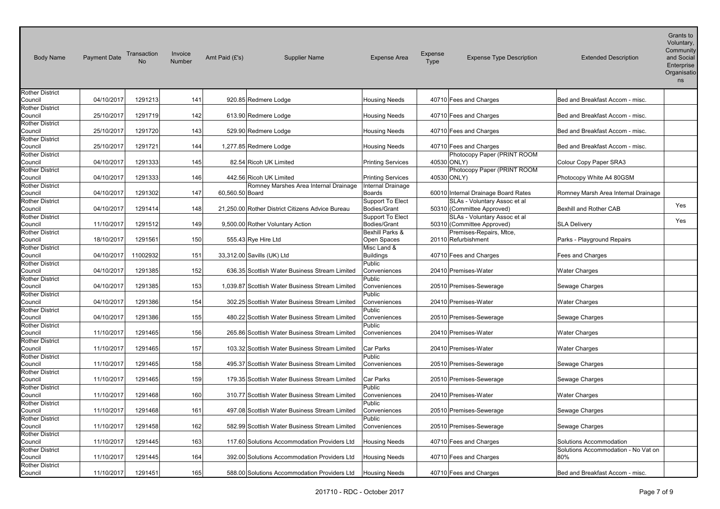| <b>Body Name</b>                  | <b>Payment Date</b> | Transaction | Invoice<br>Number | Amt Paid (£'s)  | <b>Supplier Name</b>                             | <b>Expense Area</b>              | Expense<br><b>Type</b> | <b>Expense Type Description</b>                            | <b>Extended Description</b>         | Grants to<br>Voluntary,<br>Community<br>and Social<br>Enterprise<br>Organisatio<br>ns |
|-----------------------------------|---------------------|-------------|-------------------|-----------------|--------------------------------------------------|----------------------------------|------------------------|------------------------------------------------------------|-------------------------------------|---------------------------------------------------------------------------------------|
| <b>Rother District</b><br>Council | 04/10/2017          | 1291213     | 141               |                 | 920.85 Redmere Lodge                             | <b>Housing Needs</b>             |                        | 40710 Fees and Charges                                     | Bed and Breakfast Accom - misc.     |                                                                                       |
| <b>Rother District</b>            |                     |             |                   |                 |                                                  |                                  |                        |                                                            |                                     |                                                                                       |
| Council                           | 25/10/2017          | 1291719     | 142               |                 | 613.90 Redmere Lodge                             | <b>Housing Needs</b>             |                        | 40710 Fees and Charges                                     | Bed and Breakfast Accom - misc.     |                                                                                       |
| <b>Rother District</b>            |                     |             |                   |                 |                                                  |                                  |                        |                                                            |                                     |                                                                                       |
| Council                           | 25/10/2017          | 1291720     | 143               |                 | 529.90 Redmere Lodge                             | <b>Housing Needs</b>             |                        | 40710 Fees and Charges                                     | Bed and Breakfast Accom - misc.     |                                                                                       |
| <b>Rother District</b>            |                     |             | 144               |                 |                                                  |                                  |                        |                                                            | Bed and Breakfast Accom - misc.     |                                                                                       |
| Council<br><b>Rother District</b> | 25/10/2017          | 1291721     |                   |                 | 1,277.85 Redmere Lodge                           | <b>Housing Needs</b>             |                        | 40710 Fees and Charges<br>Photocopy Paper (PRINT ROOM      |                                     |                                                                                       |
| Council                           | 04/10/2017          | 1291333     | 145               |                 | 82.54 Ricoh UK Limited                           | <b>Printing Services</b>         |                        | 40530 ONLY)                                                | Colour Copy Paper SRA3              |                                                                                       |
| <b>Rother District</b>            |                     |             |                   |                 |                                                  |                                  |                        | Photocopy Paper (PRINT ROOM                                |                                     |                                                                                       |
| Council                           | 04/10/2017          | 1291333     | 146               |                 | 442.56 Ricoh UK Limited                          | <b>Printing Services</b>         |                        | 40530 ONLY)                                                | Photocopy White A4 80GSM            |                                                                                       |
| <b>Rother District</b>            |                     |             |                   |                 | Romney Marshes Area Internal Drainage            | Internal Drainage                |                        |                                                            |                                     |                                                                                       |
| Council                           | 04/10/2017          | 1291302     | 147               | 60,560.50 Board |                                                  | Boards                           |                        | 60010 Internal Drainage Board Rates                        | Romney Marsh Area Internal Drainage |                                                                                       |
| <b>Rother District</b>            |                     |             |                   |                 |                                                  | Support To Elect                 |                        | SLAs - Voluntary Assoc et al                               |                                     | Yes                                                                                   |
| Council                           | 04/10/2017          | 1291414     | 148               |                 | 21,250.00 Rother District Citizens Advice Bureau | Bodies/Grant                     |                        | 50310 (Committee Approved)                                 | Bexhill and Rother CAB              |                                                                                       |
| <b>Rother District</b><br>Council | 11/10/2017          | 1291512     | 149               |                 | 9,500.00 Rother Voluntary Action                 | Support To Elect<br>Bodies/Grant |                        | SLAs - Voluntary Assoc et al<br>50310 (Committee Approved) | <b>SLA Delivery</b>                 | Yes                                                                                   |
| <b>Rother District</b>            |                     |             |                   |                 |                                                  | Bexhill Parks &                  |                        | Premises-Repairs, Mtce,                                    |                                     |                                                                                       |
| Council                           | 18/10/2017          | 1291561     | 150               |                 | 555.43 Rye Hire Ltd                              | Open Spaces                      |                        | 20110 Refurbishment                                        | Parks - Playground Repairs          |                                                                                       |
| <b>Rother District</b>            |                     |             |                   |                 |                                                  | Misc Land &                      |                        |                                                            |                                     |                                                                                       |
| Council                           | 04/10/2017          | 11002932    | 151               |                 | 33,312.00 Savills (UK) Ltd                       | <b>Buildings</b>                 |                        | 40710 Fees and Charges                                     | Fees and Charges                    |                                                                                       |
| <b>Rother District</b>            |                     |             |                   |                 |                                                  | Public                           |                        |                                                            |                                     |                                                                                       |
| Council                           | 04/10/2017          | 1291385     | 152               |                 | 636.35 Scottish Water Business Stream Limited    | Conveniences                     |                        | 20410 Premises-Water                                       | <b>Water Charges</b>                |                                                                                       |
| <b>Rother District</b>            |                     |             |                   |                 |                                                  | Public                           |                        |                                                            |                                     |                                                                                       |
| Council                           | 04/10/2017          | 1291385     | 153               |                 | 1,039.87 Scottish Water Business Stream Limited  | Conveniences                     |                        | 20510 Premises-Sewerage                                    | Sewage Charges                      |                                                                                       |
| <b>Rother District</b>            |                     |             |                   |                 |                                                  | Public                           |                        |                                                            |                                     |                                                                                       |
| Council                           | 04/10/2017          | 1291386     | 154               |                 | 302.25 Scottish Water Business Stream Limited    | Conveniences<br>Public           |                        | 20410 Premises-Water                                       | <b>Water Charges</b>                |                                                                                       |
| <b>Rother District</b><br>Council | 04/10/2017          | 1291386     | 155               |                 | 480.22 Scottish Water Business Stream Limited    | Conveniences                     |                        | 20510 Premises-Sewerage                                    | Sewage Charges                      |                                                                                       |
| <b>Rother District</b>            |                     |             |                   |                 |                                                  | Public                           |                        |                                                            |                                     |                                                                                       |
| Council                           | 11/10/2017          | 1291465     | 156               |                 | 265.86 Scottish Water Business Stream Limited    | Conveniences                     |                        | 20410 Premises-Water                                       | <b>Water Charges</b>                |                                                                                       |
| <b>Rother District</b>            |                     |             |                   |                 |                                                  |                                  |                        |                                                            |                                     |                                                                                       |
| Council                           | 11/10/2017          | 1291465     | 157               |                 | 103.32 Scottish Water Business Stream Limited    | Car Parks                        |                        | 20410 Premises-Water                                       | <b>Water Charges</b>                |                                                                                       |
| <b>Rother District</b>            |                     |             |                   |                 |                                                  | Public                           |                        |                                                            |                                     |                                                                                       |
| Council                           | 11/10/2017          | 1291465     | 158               |                 | 495.37 Scottish Water Business Stream Limited    | Conveniences                     |                        | 20510 Premises-Sewerage                                    | Sewage Charges                      |                                                                                       |
| <b>Rother District</b>            |                     |             |                   |                 |                                                  |                                  |                        |                                                            |                                     |                                                                                       |
| Council                           | 11/10/2017          | 1291465     | 159               |                 | 179.35 Scottish Water Business Stream Limited    | Car Parks                        |                        | 20510 Premises-Sewerage                                    | Sewage Charges                      |                                                                                       |
| <b>Rother District</b>            | 11/10/2017          | 1291468     | 160               |                 | 310.77 Scottish Water Business Stream Limited    | Public<br>Conveniences           |                        | 20410 Premises-Water                                       |                                     |                                                                                       |
| Council<br><b>Rother District</b> |                     |             |                   |                 |                                                  | Public                           |                        |                                                            | Water Charges                       |                                                                                       |
| Council                           | 11/10/2017          | 1291468     | 161               |                 | 497.08 Scottish Water Business Stream Limited    | Conveniences                     |                        | 20510 Premises-Sewerage                                    | Sewage Charges                      |                                                                                       |
| <b>Rother District</b>            |                     |             |                   |                 |                                                  | Public                           |                        |                                                            |                                     |                                                                                       |
| Council                           | 11/10/2017          | 1291458     | 162               |                 | 582.99 Scottish Water Business Stream Limited    | Conveniences                     |                        | 20510 Premises-Sewerage                                    | Sewage Charges                      |                                                                                       |
| <b>Rother District</b>            |                     |             |                   |                 |                                                  |                                  |                        |                                                            |                                     |                                                                                       |
| Council                           | 11/10/2017          | 1291445     | 163               |                 | 117.60 Solutions Accommodation Providers Ltd     | <b>Housing Needs</b>             |                        | 40710 Fees and Charges                                     | Solutions Accommodation             |                                                                                       |
| <b>Rother District</b>            |                     |             |                   |                 |                                                  |                                  |                        |                                                            | Solutions Accommodation - No Vat on |                                                                                       |
| Council                           | 11/10/2017          | 1291445     | 164               |                 | 392.00 Solutions Accommodation Providers Ltd     | <b>Housing Needs</b>             |                        | 40710 Fees and Charges                                     | 80%                                 |                                                                                       |
| <b>Rother District</b><br>Council | 11/10/2017          | 1291451     | 165               |                 | 588.00 Solutions Accommodation Providers Ltd     | <b>Housing Needs</b>             |                        | 40710 Fees and Charges                                     | Bed and Breakfast Accom - misc.     |                                                                                       |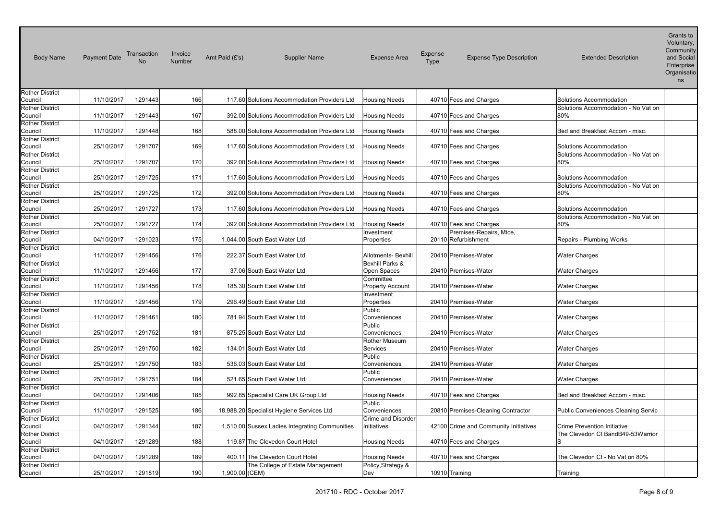| <b>Body Name</b>                  | <b>Payment Date</b> | Transaction<br><b>No</b> | Invoice<br>Number | Amt Paid (£'s) | <b>Supplier Name</b>                           | <b>Expense Area</b>                  | Expense<br>Type | <b>Expense Type Description</b>                | <b>Extended Description</b>                                    | Grants to<br>Voluntary,<br>Community<br>and Social<br>Enterprise<br>Organisatio<br>ns |
|-----------------------------------|---------------------|--------------------------|-------------------|----------------|------------------------------------------------|--------------------------------------|-----------------|------------------------------------------------|----------------------------------------------------------------|---------------------------------------------------------------------------------------|
| <b>Rother District</b><br>Council | 11/10/2017          | 1291443                  | 166               |                | 117.60 Solutions Accommodation Providers Ltd   | <b>Housing Needs</b>                 |                 | 40710 Fees and Charges                         | Solutions Accommodation                                        |                                                                                       |
| <b>Rother District</b>            |                     |                          |                   |                |                                                |                                      |                 |                                                | Solutions Accommodation - No Vat on                            |                                                                                       |
| Council                           | 11/10/2017          | 1291443                  | 167               |                | 392.00 Solutions Accommodation Providers Ltd   | <b>Housing Needs</b>                 |                 | 40710 Fees and Charges                         | 80%                                                            |                                                                                       |
| <b>Rother District</b><br>Council | 11/10/2017          | 1291448                  | 168               |                | 588.00 Solutions Accommodation Providers Ltd   | <b>Housing Needs</b>                 |                 | 40710 Fees and Charges                         | Bed and Breakfast Accom - misc.                                |                                                                                       |
| <b>Rother District</b>            |                     |                          |                   |                |                                                |                                      |                 |                                                |                                                                |                                                                                       |
| Council                           | 25/10/2017          | 1291707                  | 169               |                | 117.60 Solutions Accommodation Providers Ltd   | <b>Housing Needs</b>                 |                 | 40710 Fees and Charges                         | Solutions Accommodation<br>Solutions Accommodation - No Vat on |                                                                                       |
| <b>Rother District</b><br>Council | 25/10/2017          | 1291707                  | 170               |                | 392.00 Solutions Accommodation Providers Ltd   | <b>Housing Needs</b>                 |                 | 40710 Fees and Charges                         | 80%                                                            |                                                                                       |
| <b>Rother District</b><br>Council | 25/10/2017          | 1291725                  | 171               |                | 117.60 Solutions Accommodation Providers Ltd   | <b>Housing Needs</b>                 |                 | 40710 Fees and Charges                         | Solutions Accommodation                                        |                                                                                       |
| <b>Rother District</b>            |                     |                          |                   |                |                                                |                                      |                 |                                                | Solutions Accommodation - No Vat on                            |                                                                                       |
| Council                           | 25/10/2017          | 1291725                  | 172               |                | 392.00 Solutions Accommodation Providers Ltd   | <b>Housing Needs</b>                 |                 | 40710 Fees and Charges                         | 80%                                                            |                                                                                       |
| <b>Rother District</b><br>Council | 25/10/2017          | 1291727                  | 173               |                | 117.60 Solutions Accommodation Providers Ltd   | <b>Housing Needs</b>                 |                 | 40710 Fees and Charges                         | Solutions Accommodation                                        |                                                                                       |
| <b>Rother District</b>            |                     |                          |                   |                |                                                |                                      |                 |                                                | Solutions Accommodation - No Vat on                            |                                                                                       |
| Council                           | 25/10/2017          | 1291727                  | 174               |                | 392.00 Solutions Accommodation Providers Ltd   | <b>Housing Needs</b>                 |                 | 40710 Fees and Charges                         | 80%                                                            |                                                                                       |
| <b>Rother District</b><br>Council | 04/10/2017          | 1291023                  | 175               |                | 1,044.00 South East Water Ltd                  | Investment<br>Properties             |                 | Premises-Repairs, Mtce,<br>20110 Refurbishment | Repairs - Plumbing Works                                       |                                                                                       |
| <b>Rother District</b>            |                     |                          |                   |                |                                                |                                      |                 |                                                |                                                                |                                                                                       |
| Council                           | 11/10/2017          | 1291456                  | 176               |                | 222.37 South East Water Ltd                    | Allotments- Bexhill                  |                 | 20410 Premises-Water                           | <b>Water Charges</b>                                           |                                                                                       |
| <b>Rother District</b>            |                     |                          |                   |                |                                                | Bexhill Parks &                      |                 |                                                |                                                                |                                                                                       |
| Council                           | 11/10/2017          | 1291456                  | 177               |                | 37.06 South East Water Ltd                     | Open Spaces                          |                 | 20410 Premises-Water                           | <b>Water Charges</b>                                           |                                                                                       |
| <b>Rother District</b><br>Council | 11/10/2017          | 1291456                  | 178               |                | 185.30 South East Water Ltd                    | Committee<br><b>Property Account</b> |                 | 20410 Premises-Water                           | <b>Water Charges</b>                                           |                                                                                       |
| <b>Rother District</b>            |                     |                          |                   |                |                                                | Investment                           |                 |                                                |                                                                |                                                                                       |
| Council                           | 11/10/2017          | 1291456                  | 179               |                | 296.49 South East Water Ltd                    | Properties                           |                 | 20410 Premises-Water                           | <b>Water Charges</b>                                           |                                                                                       |
| <b>Rother District</b>            |                     |                          |                   |                |                                                | Public                               |                 |                                                |                                                                |                                                                                       |
| Council                           | 11/10/2017          | 1291461                  | 180               |                | 781.94 South East Water Ltd                    | Conveniences                         |                 | 20410 Premises-Water                           | <b>Water Charges</b>                                           |                                                                                       |
| <b>Rother District</b>            |                     |                          |                   |                |                                                | Public                               |                 |                                                |                                                                |                                                                                       |
| Council                           | 25/10/2017          | 1291752                  | 181               |                | 875.25 South East Water Ltd                    | Conveniences                         |                 | 20410 Premises-Water                           | <b>Water Charges</b>                                           |                                                                                       |
| <b>Rother District</b><br>Council | 25/10/2017          | 1291750                  | 182               |                | 134.01 South East Water Ltd                    | Rother Museum<br>Services            |                 | 20410 Premises-Water                           | <b>Water Charges</b>                                           |                                                                                       |
| <b>Rother District</b>            |                     |                          |                   |                |                                                | Public                               |                 |                                                |                                                                |                                                                                       |
| Council                           | 25/10/2017          | 1291750                  | 183               |                | 536.03 South East Water Ltd                    | Conveniences                         |                 | 20410 Premises-Water                           | <b>Water Charges</b>                                           |                                                                                       |
| <b>Rother District</b>            |                     |                          |                   |                |                                                | Public                               |                 |                                                |                                                                |                                                                                       |
| Council                           | 25/10/2017          | 1291751                  | 184               |                | 521.65 South East Water Ltd                    | Conveniences                         |                 | 20410 Premises-Water                           | <b>Water Charges</b>                                           |                                                                                       |
| <b>Rother District</b>            |                     |                          |                   |                |                                                |                                      |                 |                                                |                                                                |                                                                                       |
| Council                           | 04/10/2017          | 1291406                  | 185               |                | 992.85 Specialist Care UK Group Ltd            | <b>Housing Needs</b>                 |                 | 40710 Fees and Charges                         | Bed and Breakfast Accom - misc.                                |                                                                                       |
| <b>Rother District</b>            |                     |                          |                   |                |                                                | Public                               |                 |                                                |                                                                |                                                                                       |
| Council<br><b>Rother District</b> | 11/10/2017          | 1291525                  | 186               |                | 18,988.20 Specialist Hygiene Services Ltd      | Conveniences<br>Crime and Disorder   |                 | 20810 Premises-Cleaning Contractor             | Public Conveniences Cleaning Servic                            |                                                                                       |
| Council                           | 04/10/2017          | 1291344                  | 187               |                | 1,510.00 Sussex Ladies Integrating Communities | Initiatives                          |                 | 42100 Crime and Community Initiatives          | <b>Crime Prevention Initiative</b>                             |                                                                                       |
| <b>Rother District</b>            |                     |                          |                   |                |                                                |                                      |                 |                                                | The Clevedon Ct BandB49-53Warrior                              |                                                                                       |
| Council                           | 04/10/2017          | 1291289                  | 188               |                | 119.87 The Clevedon Court Hotel                | <b>Housing Needs</b>                 |                 | 40710 Fees and Charges                         | S                                                              |                                                                                       |
| Rother District                   |                     |                          |                   |                |                                                |                                      |                 |                                                |                                                                |                                                                                       |
| Council                           | 04/10/2017          | 1291289                  | 189               |                | 400.11 The Clevedon Court Hotel                | <b>Housing Needs</b>                 |                 | 40710 Fees and Charges                         | The Clevedon Ct - No Vat on 80%                                |                                                                                       |
| <b>Rother District</b><br>Council | 25/10/2017          | 1291819                  | 190               | 1,900.00 (CEM) | The College of Estate Management               | Policy, Strategy &<br>Dev            | 10910 Training  |                                                | Training                                                       |                                                                                       |